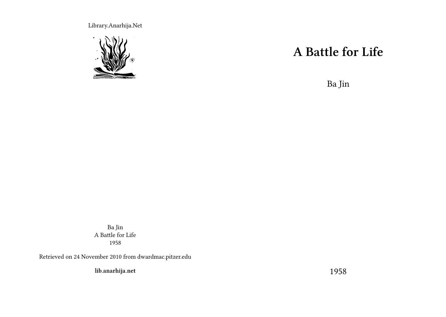Library.Anarhija.Net



## **A Battle for Life**

Ba Jin

Ba Jin A Battle for Life 1958

Retrieved on 24 November 2010 from dwardmac.pitzer.edu

**lib.anarhija.net**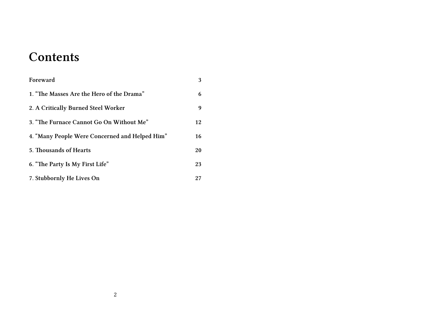## **Contents**

| Foreward                                       | 3  |
|------------------------------------------------|----|
| 1. "The Masses Are the Hero of the Drama"      | 6  |
| 2. A Critically Burned Steel Worker            | 9  |
| 3. "The Furnace Cannot Go On Without Me"       | 12 |
| 4. "Many People Were Concerned and Helped Him" | 16 |
| 5. Thousands of Hearts                         | 20 |
| 6. "The Party Is My First Life"                | 23 |
| 7. Stubbornly He Lives On                      | 27 |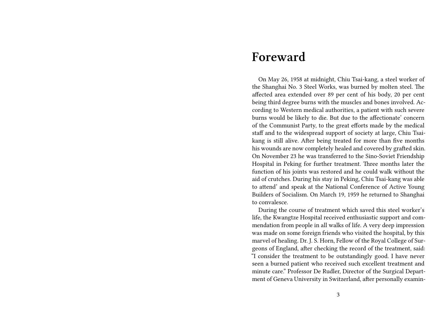#### **Foreward**

On May 26, 1958 at midnight, Chiu Tsai-kang, a steel worker of the Shanghai No. 3 Steel Works, was burned by molten steel. The affected area extended over 89 per cent of his body, 20 per cent being third degree burns with the muscles and bones involved. According to Western medical authorities, a patient with such severe burns would be likely to die. But due to the affectionate' concern of the Communist Party, to the great efforts made by the medical staff and to the widespread support of society at large, Chiu Tsaikang is still alive. After being treated for more than five months his wounds are now completely healed and covered by grafted skin. On November 23 he was transferred to the Sino-Soviet Friendship Hospital in Peking for further treatment. Three months later the function of his joints was restored and he could walk without the aid of crutches. During his stay in Peking, Chiu Tsai-kang was able to attend' and speak at the National Conference of Active Young Builders of Socialism. On March 19, 1959 he returned to Shanghai to convalesce.

During the course of treatment which saved this steel worker's life, the Kwangtze Hospital received enthusiastic support and commendation from people in all walks of life. A very deep impression was made on some foreign friends who visited the hospital, by this marvel of healing. Dr. J. S. Horn, Fellow of the Royal College of Surgeons of England, after checking the record of the treatment, said: "I consider the treatment to be outstandingly good. I have never seen a burned patient who received such excellent treatment and minute care." Professor De Rudler, Director of the Surgical Department of Geneva University in Switzerland, after personally examin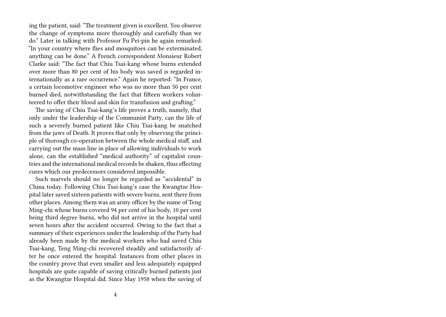ing the patient, said: "The treatment given is excellent. You observe the change of symptoms more thoroughly and carefully than we do." Later in talking with Professor Fu Pei-pin he again remarked: "In your country where flies and mosquitoes can be exterminated, anything can be done." A French correspondent Monsieur Robert Clarke said: "The fact that Chiu Tsai-kang whose burns extended over more than 80 per cent of his body was saved is regarded internationally as a rare occurrence." Again he reported: "In France, a certain locomotive engineer who was no more than 50 per cent burned died, notwithstanding the fact that fifteen workers volunteered to offer their blood and skin for transfusion and grafting."

The saving of Chiu Tsai-kang's life proves a truth, namely, that only under the leadership of the Communist Party, can the life of such a severely burned patient like Chiu Tsai-kang be snatched from the jaws of Death. It proves that only by observing the principle of thorough co-operation between the whole medical staff, and carrying out the mass line in place of allowing individuals to work alone, can the established "medical authority" of capitalist countries and the international medical records be shaken, thus effecting cures which our predecessors considered impossible.

Such marvels should no longer be regarded as "accidental" in China today. Following Chiu Tsai-kang's case the Kwangtze Hospital later saved sixteen patients with severe burns, sent there from other places. Among them was an army officer by the name of Teng Ming-chi whose burns covered 94 per cent of his body, 10 per cent being third degree burns, who did not arrive in the hospital until seven hours after the accident occurred. Owing to the fact that a summary of their experiences under the leadership of the Party had already been made by the medical workers who had saved Chiu Tsai-kang, Teng Ming-chi recovered steadily and satisfactorily after he once entered the hospital. Instances from other places in the country prove that even smaller and less adequately equipped hospitals are quite capable of saving critically burned patients just as the Kwangtze Hospital did. Since May 1958 when the saving of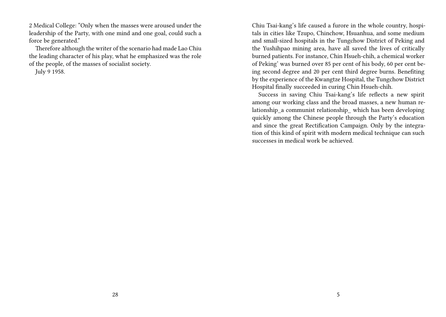2 Medical College: "Only when the masses were aroused under the leadership of the Party, with one mind and one goal, could such a force be generated."

Therefore although the writer of the scenario had made Lao Chiu the leading character of his play, what he emphasized was the role of the people, of the masses of socialist society.

July 9 1958.

Chiu Tsai-kang's life caused a furore in the whole country, hospitals in cities like Tzupo, Chinchow, Hsuanhua, and some medium and small-sized hospitals in the Tungchow District of Peking and the Yushihpao mining area, have all saved the lives of critically burned patients. For instance, Chin Hsueh-chih, a chemical worker of Peking' was burned over 85 per cent of his body, 60 per cent being second degree and 20 per cent third degree burns. Benefiting by the experience of the Kwangtze Hospital, the Tungchow District Hospital finally succeeded in curing Chin Hsueh-chih.

Success in saving Chiu Tsai-kang's life reflects a new spirit among our working class and the broad masses, a new human relationship\_a communist relationship\_ which has been developing quickly among the Chinese people through the Party's education and since the great Rectification Campaign. Only by the integration of this kind of spirit with modern medical technique can such successes in medical work be achieved.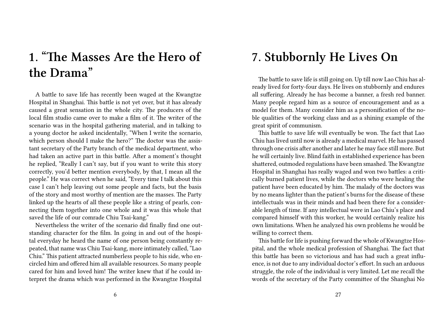# **1. "The Masses Are the Hero of the Drama"**

A battle to save life has recently been waged at the Kwangtze Hospital in Shanghai. This battle is not yet over, but it has already caused a great sensation in the whole city. The producers of the local film studio came over to make a film of it. The writer of the scenario was in the hospital gathering material, and in talking to a young doctor he asked incidentally, "When I write the scenario, which person should I make the hero?" The doctor was the assistant secretary of the Party branch of the medical department, who had taken an active part in this battle. After a moment's thought he replied, "Really I can't say, but if you want to write this story correctly, you'd better mention everybody, by that, I mean all the people." He was correct when he said, "Every time I talk about this case I can't help leaving out some people and facts, but the basis of the story and most worthy of mention are the masses. The Party linked up the hearts of all these people like a string of pearls, connecting them together into one whole and it was this whole that saved the life of our comrade Chiu Tsai-kang."

Nevertheless the writer of the scenario did finally find one outstanding character for the film. In going in and out of the hospital everyday he heard the name of one person being constantly repeated, that name was Chiu Tsai-kang, more intimately called, "Lao Chiu." This patient attracted numberless people to his side, who encircled him and offered him all available resources. So many people cared for him and loved him! The writer knew that if he could interpret the drama which was performed in the Kwangtze Hospital

## **7. Stubbornly He Lives On**

The battle to save life is still going on. Up till now Lao Chiu has already lived for forty-four days. He lives on stubbornly and endures all suffering. Already he has become a banner, a fresh red banner. Many people regard him as a source of encouragement and as a model for them. Many consider him as a personification of the noble qualities of the working class and as a shining example of the great spirit of communism.

This battle to save life will eventually be won. The fact that Lao Chiu has lived until now is already a medical marvel. He has passed through one crisis after another and later he may face still more. But he will certainly live. Blind faith in established experience has been shattered, outmoded regulations have been smashed. The Kwangtze Hospital in Shanghai has really waged and won two battles: a critically burned patient lives, while the doctors who were healing the patient have been educated by him. The malady of the doctors was by no means lighter than the patient's burns for the disease of these intellectuals was in their minds and had been there for a considerable length of time. If any intellectual were in Lao Chiu's place and compared himself with this worker, he would certainly realize his own limitations. When he analyzed his own problems he would be willing to correct them.

This battle for life is pushing forward the whole of Kwangtze Hospital, and the whole medical profession of Shanghai. The fact that this battle has been so victorious and has had such a great influence, is not due to any individual doctor's effort. In such an arduous struggle, the role of the individual is very limited. Let me recall the words of the secretary of the Party committee of the Shanghai No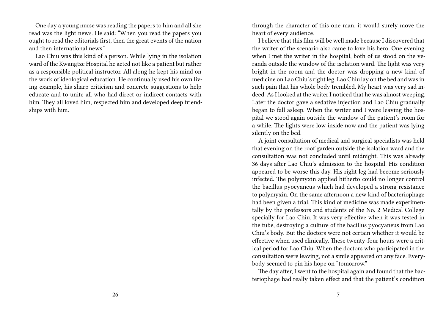One day a young nurse was reading the papers to him and all she read was the light news. He said: "When you read the papers you ought to read the editorials first, then the great events of the nation and then international news."

Lao Chiu was this kind of a person. While lying in the isolation ward of the Kwangtze Hospital he acted not like a patient but rather as a responsible political instructor. All along he kept his mind on the work of ideological education. He continually used his own living example, his sharp criticism and concrete suggestions to help educate and to unite all who had direct or indirect contacts with him. They all loved him, respected him and developed deep friendships with him.

through the character of this one man, it would surely move the heart of every audience.

I believe that this film will be well made because I discovered that the writer of the scenario also came to love his hero. One evening when I met the writer in the hospital, both of us stood on the veranda outside the window of the isolation ward. The light was very bright in the room and the doctor was dropping a new kind of medicine on Lao Chiu's right leg. Lao Chiu lay on the bed and was in such pain that his whole body trembled. My heart was very sad indeed. As I looked at the writer I noticed that he was almost weeping. Later the doctor gave a sedative injection and Lao Chiu gradually began to fall asleep. When the writer and I were leaving the hospital we stood again outside the window of the patient's room for a while. The lights were low inside now and the patient was lying silently on the bed.

A joint consultation of medical and surgical specialists was held that evening on the roof garden outside the isolation ward and the consultation was not concluded until midnight. This was already 36 days after Lao Chiu's admission to the hospital. His condition appeared to be worse this day. His right leg had become seriously infected. The polymyxin applied hitherto could no longer control the bacillus pyocyaneus which had developed a strong resistance to polymyxin. On the same afternoon a new kind of bacteriophage had been given a trial. This kind of medicine was made experimentally by the professors and students of the No. 2 Medical College specially for Lao Chiu. It was very effective when it was tested in the tube, destroying a culture of the bacillus pyocyaneus from Lao Chiu's body. But the doctors were not certain whether it would be effective when used clinically. These twenty-four hours were a critical period for Lao Chiu. When the doctors who participated in the consultation were leaving, not a smile appeared on any face. Everybody seemed to pin his hope on "tomorrow."

The day after, I went to the hospital again and found that the bacteriophage had really taken effect and that the patient's condition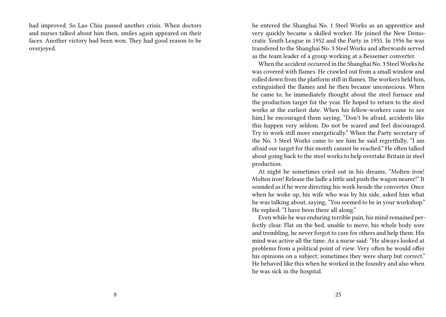had improved. So Lao Chiu passed another crisis. When doctors and nurses talked about him then, smiles again appeared on their faces. Another victory had been won. They had good reason to be overjoyed.

he entered the Shanghai No. 1 Steel Works as an apprentice and very quickly became a skilled worker. He joined the New Democratic Youth League in 1952 and the Party in 1955. In 1956 he was transfered to the Shanghai No. 3 Steel Works and afterwards served as the team leader of a group working at a Bessemer converter.

When the accident occurred in the Shanghai No. 3 Steel Works he was covered with flames. He crawled out from a small window and rolled down from the platform still in flames. The workers held him, extinguished the flames and he then became unconscious. When he came to, he immediately thought about the steel furnace and the production target for the year. He hoped to return to the steel works at the earliest date. When his fellow-workers came to see him,l he encouraged them saying, "Don't be afraid, accidents like this happen very seldom. Do not be scared and feel discouraged. Try to work still more energetically." When the Party secretary of the No. 3 Steel Works came to see him he said regretfully, "I am afraid our target for this month cannot be reached." He often talked about going back to the steel works to help overtake Britain in steel production.

At night he sometimes cried out in his dreams, "Molten iron! Molten iron! Release the ladle a little and push the wagon nearer!" It sounded as if he were directing his work beside the converter. Once when he woke up, his wife who was by his side, asked him what he was talking about, saying, "You seemed to be in your workshop." He replied: "I have been there all along."

Even while he was enduring terrible pain, his mind remained perfectly clear. Flat on the bed, unable to move, his whole body sore and trembling, he never forgot to care for others and help them. His mind was active all the time. As a nurse said: "He always looked at problems from a political point of view. Very often he would offer his opinions on a subject; sometimes they were sharp but correct." He behaved like this when he worked in the foundry and also when he was sick in the hospital.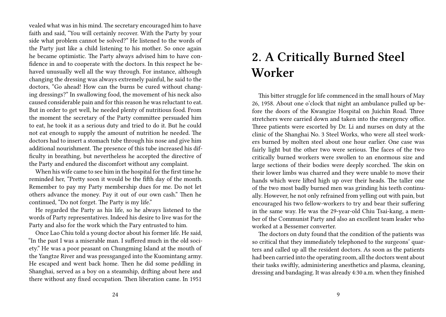vealed what was in his mind. The secretary encouraged him to have faith and said, "You will certainly recover. With the Party by your side what problem cannot be solved?" He listened to the words of the Party just like a child listening to his mother. So once again he became optimistic. The Party always advised him to have confidence in and to cooperate with the doctors. In this respect he behaved unusually well all the way through. For instance, although changing the dressing was always extremely painful, he said to the doctors, "Go ahead! How can the burns be cured without changing dressings?" In swallowing food, the movement of his neck also caused considerable pain and for this reason he was reluctant to eat. But in order to get well, he needed plenty of nutritious food. From the moment the secretary of the Party committee persuaded him to eat, he took it as a serious duty and tried to do it. But he could not eat enough to supply the amount of nutrition he needed. The doctors had to insert a stomach tube through his nose and give him additional nourishment. The presence of this tube increased his difficulty in breathing, but nevertheless he accepted the directive of the Party and endured the discomfort without any complaint.

When his wife came to see him in the hospital for the first time he reminded her, "Pretty soon it would be the fifth day of the month. Remember to pay my Party membership dues for me. Do not let others advance the money. Pay it out of our own cash." Then he continued, "Do not forget. The Party is my life."

He regarded the Party as his life, so he always listened to the words of Party representatives. Indeed his desire to live was for the Party and also for the work which the Pary entrusted to him.

Once Lao Chiu told a young doctor about his former life. He said, "In the past I was a miserable man. I suffered much in the old society." He was a poor peasant on Chungming Island at the mouth of the Yangtze River and was pressganged into the Kuomintang army. He escaped and went back home. Then he did some peddling in Shanghai, served as a boy on a steamship, drifting about here and there without any fixed occupation. Then liberation came. In 1951

## **2. A Critically Burned Steel Worker**

This bitter struggle for life commenced in the small hours of May 26, 1958. About one o'clock that night an ambulance pulled up before the doors of the Kwangize Hospital on Juichin Road. Three stretchers were carried down and taken into the emergency office. Three patients were escorted by Dr. Li and nurses on duty at the clinic of the Shanghai No. 3 Steel Works, who were all steel workers burned by molten steel about one hour earlier. One case was fairly light but the other two were serious. The faces of the two critically burned workers were swollen to an enormous size and large sections of their bodies were deeply scorched. The skin on their lower limbs was charred and they were unable to move their hands which were lifted high up over their heads. The taller one of the two most badly burned men was grinding his teeth continually. However, he not only refrained from yelling out with pain, but encouraged his two fellow-workers to try and bear their suffering in the same way. He was the 29-year-old Chiu Tsai-kang, a member of the Communist Party and also an excellent team leader who worked at a Bessemer converter.

The doctors on duty found that the condition of the patients was so critical that they immediately telephoned to the surgeons' quarters and called up all the resident doctors. As soon as the patients had been carried into the operating room, all the doctors went about their tasks swiftly, administering anesthetics and plasma, cleaning, dressing and bandaging. It was already 4:30 a.m. when they finished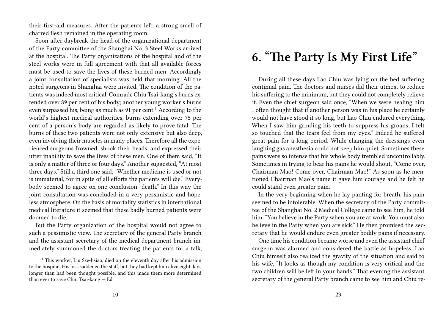their first-aid measures. After the patients left, a strong smell of charred flesh remained in the operating room.

Soon after daybreak the head of the organizational department of the Party committee of the Shanghai No. 3 Steel Works arrived at the hospital. The Party organizations of the hospital and of the steel works were in full agreement with that all available forces must be used to save the lives of these burned men. Accordingly a joint consultation of specialists was held that morning. All the noted surgeons in Shanghai were invited. The condition of the patients was indeed most critical. Comrade Chiu Tsai-kang's burns extended over 89 per cent of his body; another young worker's burns even surpassed his, being as much as 91 per cent.<sup>1</sup> According to the world's highest medical authorities, burns extending over 75 per cent of a person's body are regarded as likely to prove fatal. The burns of these two patients were not only extensive but also deep, even involving their muscles in many places. Therefore all the experienced surgeons frowned, shook their heads, and expressed their utter inability to save the lives of these men. One of them said, "It is only a matter of three or four days." Another suggested, "At most three days." Still a third one said, "Whether medicine is used or not is immaterial, for in spite of all efforts the patients will die." Everybody seemed to agree on one conclusion "death." In this way the joint consultation was concluded in a very pessimistic and hopeless atmosphere. On the basis of mortality statistics in international medical literature it seemed that these badly burned patients were doomed to die.

But the Party organization of the hospital would not agree to such a pessimistic view. The secretary of the general Party branch and the assistant secretary of the medical department branch immediately summoned the doctors treating the patients for a talk,

## **6. "The Party Is My First Life"**

During all these days Lao Chiu was lying on the bed suffering continual pain. The doctors and nurses did their utmost to reduce his suffering to the minimum, but they could not completely relieve it. Even the chief surgeon said once, "When we were healing him I often thought that if another person was in his place he certainly would not have stood it so long, but Lao Chiu endured everything. When I saw him grinding his teeth to suppress his groans, I felt so touched that the tears feel from my eyes." Indeed he suffered great pain for a long period. While changing the dressings even laughing gas anesthesia could not keep him quiet. Sometimes these pains were so intense that his whole body trembled uncontrollably. Sometimes in trying to bear his pains he would shout, "Come over, Chairman Mao! Come over, Chairman Mao!" As soon as he mentioned Chairman Mao's name it gave him courage and he felt he could stand even greater pain.

In the very beginning when he lay panting for breath, his pain seemed to be intolerable. When the secretary of the Party committee of the Shanghai No. 2 Medical College came to see him, he told him, "You believe in the Party when you are at work. You must also believe in the Party when you are sick." He then promised the secretary that he would endure even greater bodily pains if necessary.

One time his condition became worse and even the assistant chief surgeon was alarmed and considered the battle as hopeless. Lao Chiu himself also realized the gravity of the situation and said to his wife, "It looks as though my condition is very critical and the two children will be left in your hands." That evening the assistant secretary of the general Party branch came to see him and Chiu re-

<sup>&</sup>lt;sup>1</sup> This worker, Liu Sse-hsiao, died on the eleventh day after his admission to the hospital. His loss saddened the staff, but they had kept him alive eight days longer than had been thought possible, and this made them more determined than ever to save Chiu Tsai-kang — Ed.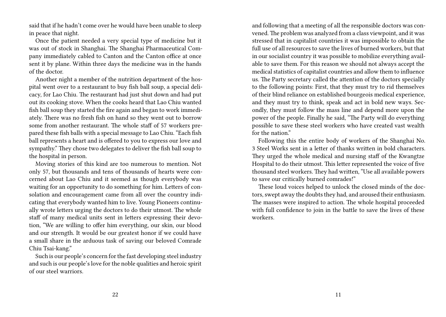said that if he hadn't come over he would have been unable to sleep in peace that night.

Once the patient needed a very special type of medicine but it was out of stock in Shanghai. The Shanghai Pharmaceutical Company immediately cabled to Canton and the Canton office at once sent it by plane. Within three days the medicine was in the hands of the doctor.

Another night a member of the nutrition department of the hospital went over to a restaurant to buy fish ball soup, a special delicacy, for Lao Chiu. The restaurant had just shut down and had put out its cooking stove. When the cooks heard that Lao Chiu wanted fish ball soup they started the fire again and began to work immediately. There was no fresh fish on hand so they went out to borrow some from another restaurant. The whole staff of 57 workers prepared these fish balls with a special message to Lao Chiu. "Each fish ball represents a heart and is offered to you to express our love and sympathy." They chose two delegates to deliver the fish ball soup to the hospital in person.

Moving stories of this kind are too numerous to mention. Not only 57, but thousands and tens of thousands of hearts were concerned about Lao Chiu and it seemed as though everybody was waiting for an opportunity to do something for him. Letters of consolation and encouragement came from all over the country indicating that everybody wanted him to live. Young Pioneers continually wrote letters urging the doctors to do their utmost. The whole staff of many medical units sent in letters expressing their devotion, "We are willing to offer him everything, our skin, our blood and our strength. It would be our greatest honor if we could have a small share in the arduous task of saving our beloved Comrade Chiu Tsai-kang."

Such is our people's concern for the fast developing steel industry and such is our people's love for the noble qualities and heroic spirit of our steel warriors.

and following that a meeting of all the responsible doctors was convened. The problem was analyzed from a class viewpoint, and it was stressed that in capitalist countries it was impossible to obtain the full use of all resources to save the lives of burned workers, but that in our socialist country it was possible to mobilize everything available to save them. For this reason we should not always accept the medical statistics of capitalist countries and allow them to influence us. The Party secretary called the attention of the doctors specially to the following points: First, that they must try to rid themselves of their blind reliance on established bourgeois medical experience, and they must try to think, speak and act in bold new ways. Secondly, they must follow the mass line and depend more upon the power of the people. Finally he said, "The Party will do everything possible to save these steel workers who have created vast wealth for the nation."

Following this the entire body of workers of the Shanghai No. 3 Steel Works sent in a letter of thanks written in bold characters. They urged the whole medical and nursing staff of the Kwangtze Hospital to do their utmost. This letter represented the voice of five thousand steel workers. They had written, "Use all available powers to save our critically burned comrades!"

These loud voices helped to unlock the closed minds of the doctors, swept away the doubts they had, and aroused their enthusiasm. The masses were inspired to action. The whole hospital proceeded with full confidence to join in the battle to save the lives of these workers.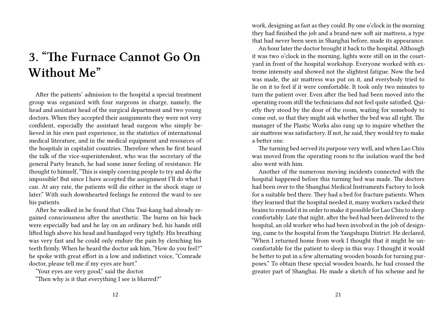# **3. "The Furnace Cannot Go On Without Me"**

After the patients' admission to the hospital a special treatment group was organized with four surgeons in charge, namely, the head and assistant head of the surgical department and two young doctors. When they accepted their assignments they were not very confident, especially the assistant head surgeon who simply believed in his own past experience, in the statistics of international medical literature, and in the medical equipment and resources of the hospitals in capitalist countries. Therefore when he first heard the talk of the vice-superintendent, who was the secretary of the general Party branch, he had some inner feeling of resistance. He thought to himself, "This is simply coercing people to try and do the impossible! But since I have accepted the assignment I'll do what I can. At any rate, the patients will die either in the shock stage or later." With such downhearted feelings he entered the ward to see his patients.

After he walked in he found that Chiu Tsai-kang had already regained consciousness after the anesthetic. The burns on his back were especially bad and he lay on an ordinary bed, his hands still lifted high above his head and bandaged very tightly. His breathing was very fast and he could only endure the pain by clenching his teeth firmly. When he heard the doctor ask him, "How do you feel?" he spoke with great effort in a low and indistinct voice, "Comrade doctor, please tell me if my eyes are hurt."

"Your eyes are very good," said the doctor.

"Then why is it that everything I see is blurred?"

work, designing as fast as they could. By one o'clock in the morning they had finished the job and a brand-new soft air mattress, a type that had never been seen in Shanghai before, made its appearance.

An hour later the doctor brought it back to the hospital. Although it was two o'clock in the morning, lights were still on in the courtyard in front of the hospital workshop. Everyone worked with extreme intensity and showed not the slightest fatigue. Now the bed was made, the air mattress was put on it, and everybody tried to lie on it to feel if it were comfortable. It took only two minutes to turn the patient over. Even after the bed had been moved into the operating room still the technicians did not feel quite satisfied. Quietly they stood by the door of the room, waiting for somebody to come out, so that they might ask whether the bed was all right. The manager of the Plastic Works also rang up to inquire whether the air mattress was satisfactory. If not, he said, they would try to make a better one.

The turning bed served its purpose very well, and when Lao Chiu was moved from the operating room to the isolation ward the bed also went with him.

Another of the numerous moving incidents connected with the hospital happened before this turning bed was made. The doctors had been over to the Shanghai Medical Instruments Factory to look for a suitable bed there. They had a bed for fracture patients. When they learned that the hospital needed it, many workers racked their brains to remodel it in order to make it possible for Lao Chiu to sleep comfortably. Late that night, after the bed had been delivered to the hospital, an old worker who had been involved in the job of designing, came to the hospital from the Yangshupu District. He declared, "When I returned home from work I thought that it might be uncomfortable for the patient to sleep in this way. I thought it would be better to put in a few alternating wooden boards for turning purposes." To obtain these special wooden boards, he had crossed the greater part of Shanghai. He made a sketch of his scheme and he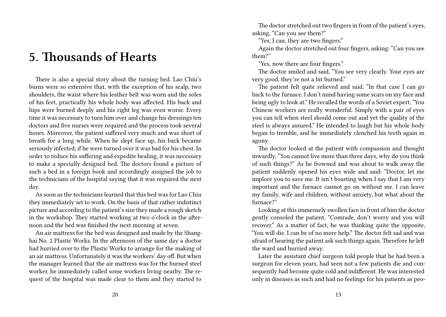## **5. Thousands of Hearts**

There is also a special story about the turning bed. Lao Chiu's burns were so extensive that, with the exception of his scalp, two shoulders, the waist where his leather belt was worn and the soles of his feet, practically his whole body was affected. His back and hips were burned deeply and his right leg was even worse. Every time it was necessary to turn him over and change his dressings ten doctors and five nurses were required and the process took several hours. Moreover, the patient suffered very much and was short of breath for a long while. When he slept face up, his back became seriously infected; if he were turned over it was bad for his chest. In order to reduce his suffering and expedite healing, it was necessary to make a specially designed bed. The doctors found a picture of such a bed in a foreign book and accordingly assigned the job to the technicians of the hospital saying that it was required the next day.

As soon as the technicians learned that this bed was for Lao Chiu they immediately set to work. On the basis of that rather indistinct picture and according to the patient's size they made a rough sketch in the workshop. They started working at two o'clock in the afternoon and the bed was finished the next morning at seven.

An air mattress for the bed was designed and made by the Shanghai No. 2 Plastic Works. In the afternoon of the same day a doctor had hurried over to the Plastic Works to arrange for the making of an air mattress. Unfortunately it was the workers' day off. But when the manager learned that the air mattress was for the burned steel worker, he immediately called some workers living nearby. The request of the hospital was made clear to them and they started to

The doctor stretched out two fingers in front of the patient's eyes, asking, "Can you see them?"

"Yes, I can, they are two fingers."

Again the doctor stretched out four fingers, asking: "Can you see them?"

"Yes, now there are four fingers."

The doctor smiled and said, "You see very clearly. Your eyes are very good, they're not a bit burned."

The patient felt quite relieved and said, "In that case I can go back to the furnace. I don't mind having some scars on my face and being ugly to look at." He recalled the words of a Soviet expert, "You Chinese workers are really wonderful. Simply with a pair of eyes you can tell when steel should come out and yet the quality of the steel is always assured." He intended to laugh but his whole body began to tremble, and he immediately clenched his teeth again in agony.

The doctor looked at the patient with compassion and thought inwardly, "You cannot live more than three days, why do you think of such things?" As he frowned and was about to walk away the patient suddenly opened his eyes wide and said: "Doctor, let me implore you to save me. It isn't boasting when I say that I am very important and the furnace cannot go on without me. I can leave my family, wife and children, without anxiety, but what about the furnace?"

Looking at this immensely swollen face in front of him the doctor gently consoled the patient, "Comrade, don't worry and you will recover." As a matter of fact, he was thinking quite the opposite, "You will die. I can be of no more help." The doctor felt sad and was afraid of hearing the patient ask such things again. Therefore he left the ward and hurried away.

Later the assistant chief surgeon told people that he had been a surgeon for eleven years, had seen not a few patients die and consequently had become quite cold and indifferent. He was interested only in diseases as such and had no feelings for his patients as peo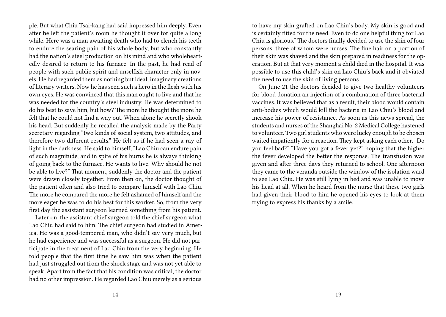ple. But what Chiu Tsai-kang had said impressed him deeply. Even after he left the patient's room he thought it over for quite a long while. Here was a man awaiting death who had to clench his teeth to endure the searing pain of his whole body, but who constantly had the nation's steel production on his mind and who wholeheartedly desired to return to his furnace. In the past, he had read of people with such public spirit and unselfish character only in novels. He had regarded them as nothing but ideal, imaginary creations of literary writers. Now he has seen such a hero in the flesh with his own eyes. He was convinced that this man ought to live and that he was needed for the country's steel industry. He was determined to do his best to save him, but how? The more he thought the more he felt that he could not find a way out. When alone he secretly shook his head. But suddenly he recalled the analysis made by the Party secretary regarding "two kinds of social system, two attitudes, and therefore two different results." He felt as if he had seen a ray of light in the darkness. He said to himself, "Lao Chiu can endure pain of such magnitude, and in spite of his burns he is always thinking of going back to the furnace. He wants to live. Why should he not be able to live?" That moment, suddenly the doctor and the patient were drawn closely together. From then on, the doctor thought of the patient often and also tried to compare himself with Lao Chiu. The more he compared the more he felt ashamed of himself and the more eager he was to do his best for this worker. So, from the very first day the assistant surgeon learned something from his patient.

Later on, the assistant chief surgeon told the chief surgeon what Lao Chiu had said to him. The chief surgeon had studied in America. He was a good-tempered man, who didn't say very much, but he had experience and was successful as a surgeon. He did not participate in the treatment of Lao Chiu from the very beginning. He told people that the first time he saw him was when the patient had just struggled out from the shock stage and was not yet able to speak. Apart from the fact that his condition was critical, the doctor had no other impression. He regarded Lao Chiu merely as a serious

to have my skin grafted on Lao Chiu's body. My skin is good and is certainly fitted for the need. Even to do one helpful thing for Lao Chiu is glorious." The doctors finally decided to use the skin of four persons, three of whom were nurses. The fine hair on a portion of their skin was shaved and the skin prepared in readiness for the operation. But at that very moment a child died in the hospital. It was possible to use this child's skin on Lao Chiu's back and it obviated the need to use the skin of living persons.

On June 21 the doctors decided to give two healthy volunteers for blood donation an injection of a combination of three bacterial vaccines. It was believed that as a result, their blood would contain anti-bodies which would kill the bacteria in Lao Chiu's blood and increase his power of resistance. As soon as this news spread, the students and nurses of the Shanghai No. 2 Medical College hastened to volunteer. Two girl students who were lucky enough to be chosen waited impatiently for a reaction. They kept asking each other, "Do you feel bad?" "Have you got a fever yet?" hoping that the higher the fever developed the better the response. The transfusion was given and after three days they returned to school. One afternoon they came to the veranda outside the window of the isolation ward to see Lao Chiu. He was still lying in bed and was unable to move his head at all. When he heard from the nurse that these two girls had given their blood to him he opened his eyes to look at them trying to express his thanks by a smile.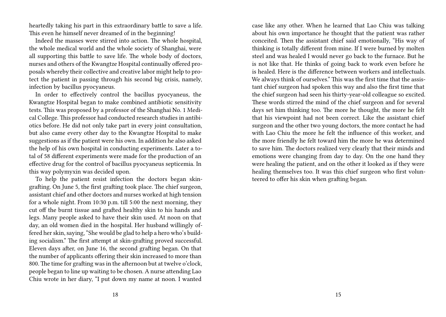heartedly taking his part in this extraordinary battle to save a life. This even he himself never dreamed of in the beginning!

Indeed the masses were stirred into action. The whole hospital, the whole medical world and the whole society of Shanghai, were all supporting this battle to save life. The whole body of doctors, nurses and others of the Kwangtze Hospital continually offered proposals whereby their collective and creative labor might help to protect the patient in passing through his second big crisis, namely, infection by bacillus pyocyaneus.

In order to effectively control the bacillus pyocyaneus, the Kwangtze Hospital began to make combined antibiotic sensitivity tests. This was proposed by a professor of the Shanghai No. 1 Medical College. This professor had conducted research studies in antibiotics before. He did not only take part in every joint consultation, but also came every other day to the Kwangtze Hospital to make suggestions as if the patient were his own. In addition he also asked the help of his own hospital in conducting experiments. Later a total of 58 different experiments were made for the production of an effective drug for the control of bacillus pyocyaneus septicemia. In this way polymyxin was decided upon.

To help the patient resist infection the doctors began skingrafting. On June 5, the first grafting took place. The chief surgeon, assistant chief and other doctors and nurses worked at high tension for a whole night. From 10:30 p.m. till 5:00 the next morning, they cut off the burnt tissue and grafted healthy skin to his hands and legs. Many people asked to have their skin used. At noon on that day, an old women died in the hospital. Her husband willingly offered her skin, saying, "She would be glad to help a hero who's building socialism." The first attempt at skin-grafting proved successful. Eleven days after, on June 16, the second grafting began. On that the number of applicants offering their skin increased to more than 800. The time for grafting was in the afternoon but at twelve o'clock, people began to line up waiting to be chosen. A nurse attending Lao Chiu wrote in her diary, "I put down my name at noon. I wanted

case like any other. When he learned that Lao Chiu was talking about his own importance he thought that the patient was rather conceited. Then the assistant chief said emotionally, "His way of thinking is totally different from mine. If I were burned by molten steel and was healed I would never go back to the furnace. But he is not like that. He thinks of going back to work even before he is healed. Here is the difference between workers and intellectuals. We always think of ourselves." This was the first time that the assistant chief surgeon had spoken this way and also the first time that the chief surgeon had seen his thirty-year-old colleague so excited. These words stirred the mind of the chief surgeon and for several days set him thinking too. The more he thought, the more he felt that his viewpoint had not been correct. Like the assistant chief surgeon and the other two young doctors, the more contact he had with Lao Chiu the more he felt the influence of this worker, and the more friendly he felt toward him the more he was determined to save him. The doctors realized very clearly that their minds and emotions were changing from day to day. On the one hand they were healing the patient, and on the other it looked as if they were healing themselves too. It was this chief surgeon who first volunteered to offer his skin when grafting began.